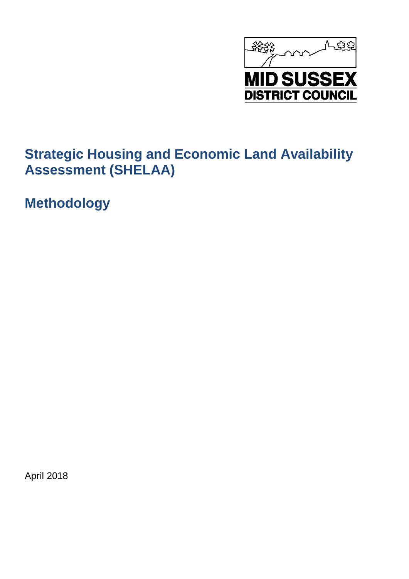

**Methodology**

April 2018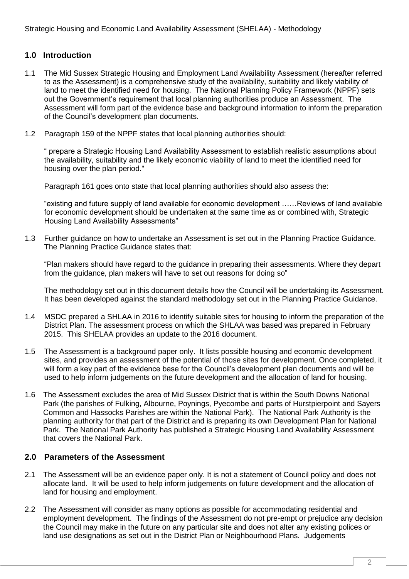# **1.0 Introduction**

- 1.1 The Mid Sussex Strategic Housing and Employment Land Availability Assessment (hereafter referred to as the Assessment) is a comprehensive study of the availability, suitability and likely viability of land to meet the identified need for housing. The National Planning Policy Framework (NPPF) sets out the Government's requirement that local planning authorities produce an Assessment. The Assessment will form part of the evidence base and background information to inform the preparation of the Council's development plan documents.
- 1.2 Paragraph 159 of the NPPF states that local planning authorities should:

" prepare a Strategic Housing Land Availability Assessment to establish realistic assumptions about the availability, suitability and the likely economic viability of land to meet the identified need for housing over the plan period."

Paragraph 161 goes onto state that local planning authorities should also assess the:

"existing and future supply of land available for economic development ……Reviews of land available for economic development should be undertaken at the same time as or combined with, Strategic Housing Land Availability Assessments"

1.3 Further guidance on how to undertake an Assessment is set out in the Planning Practice Guidance. The Planning Practice Guidance states that:

"Plan makers should have regard to the guidance in preparing their assessments. Where they depart from the guidance, plan makers will have to set out reasons for doing so"

The methodology set out in this document details how the Council will be undertaking its Assessment. It has been developed against the standard methodology set out in the Planning Practice Guidance.

- 1.4 MSDC prepared a SHLAA in 2016 to identify suitable sites for housing to inform the preparation of the District Plan. The assessment process on which the SHLAA was based was prepared in February 2015. This SHELAA provides an update to the 2016 document.
- 1.5 The Assessment is a background paper only. It lists possible housing and economic development sites, and provides an assessment of the potential of those sites for development. Once completed, it will form a key part of the evidence base for the Council's development plan documents and will be used to help inform judgements on the future development and the allocation of land for housing.
- 1.6 The Assessment excludes the area of Mid Sussex District that is within the South Downs National Park (the parishes of Fulking, Albourne, Poynings, Pyecombe and parts of Hurstpierpoint and Sayers Common and Hassocks Parishes are within the National Park). The National Park Authority is the planning authority for that part of the District and is preparing its own Development Plan for National Park. The National Park Authority has published a Strategic Housing Land Availability Assessment that covers the National Park.

## **2.0 Parameters of the Assessment**

- 2.1 The Assessment will be an evidence paper only. It is not a statement of Council policy and does not allocate land. It will be used to help inform judgements on future development and the allocation of land for housing and employment.
- 2.2 The Assessment will consider as many options as possible for accommodating residential and employment development. The findings of the Assessment do not pre-empt or prejudice any decision the Council may make in the future on any particular site and does not alter any existing polices or land use designations as set out in the District Plan or Neighbourhood Plans. Judgements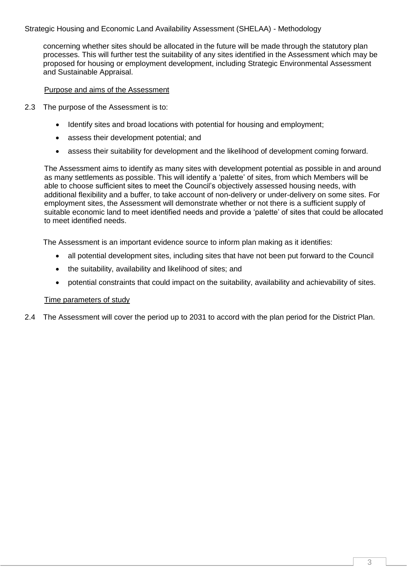concerning whether sites should be allocated in the future will be made through the statutory plan processes. This will further test the suitability of any sites identified in the Assessment which may be proposed for housing or employment development, including Strategic Environmental Assessment and Sustainable Appraisal.

#### Purpose and aims of the Assessment

- 2.3 The purpose of the Assessment is to:
	- Identify sites and broad locations with potential for housing and employment;
	- assess their development potential; and
	- assess their suitability for development and the likelihood of development coming forward.

The Assessment aims to identify as many sites with development potential as possible in and around as many settlements as possible. This will identify a 'palette' of sites, from which Members will be able to choose sufficient sites to meet the Council's objectively assessed housing needs, with additional flexibility and a buffer, to take account of non-delivery or under-delivery on some sites. For employment sites, the Assessment will demonstrate whether or not there is a sufficient supply of suitable economic land to meet identified needs and provide a 'palette' of sites that could be allocated to meet identified needs.

The Assessment is an important evidence source to inform plan making as it identifies:

- all potential development sites, including sites that have not been put forward to the Council
- the suitability, availability and likelihood of sites; and
- potential constraints that could impact on the suitability, availability and achievability of sites.

#### Time parameters of study

2.4 The Assessment will cover the period up to 2031 to accord with the plan period for the District Plan.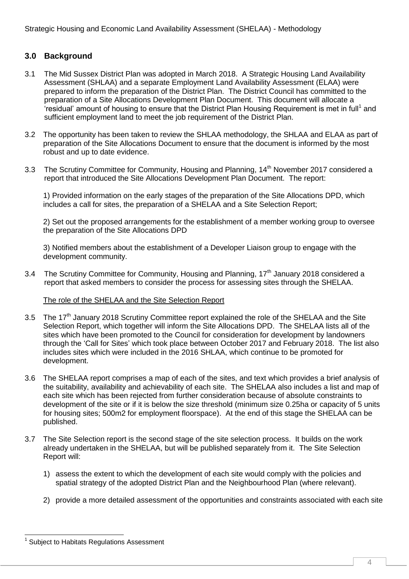# **3.0 Background**

- 3.1 The Mid Sussex District Plan was adopted in March 2018. A Strategic Housing Land Availability Assessment (SHLAA) and a separate Employment Land Availability Assessment (ELAA) were prepared to inform the preparation of the District Plan. The District Council has committed to the preparation of a Site Allocations Development Plan Document. This document will allocate a 'residual' amount of housing to ensure that the District Plan Housing Requirement is met in full<sup>1</sup> and sufficient employment land to meet the job requirement of the District Plan.
- 3.2 The opportunity has been taken to review the SHLAA methodology, the SHLAA and ELAA as part of preparation of the Site Allocations Document to ensure that the document is informed by the most robust and up to date evidence.
- 3.3 The Scrutiny Committee for Community, Housing and Planning, 14<sup>th</sup> November 2017 considered a report that introduced the Site Allocations Development Plan Document. The report:

1) Provided information on the early stages of the preparation of the Site Allocations DPD, which includes a call for sites, the preparation of a SHELAA and a Site Selection Report;

2) Set out the proposed arrangements for the establishment of a member working group to oversee the preparation of the Site Allocations DPD

3) Notified members about the establishment of a Developer Liaison group to engage with the development community.

3.4 The Scrutiny Committee for Community, Housing and Planning, 17<sup>th</sup> January 2018 considered a report that asked members to consider the process for assessing sites through the SHELAA.

#### The role of the SHELAA and the Site Selection Report

- 3.5 The 17<sup>th</sup> January 2018 Scrutiny Committee report explained the role of the SHELAA and the Site Selection Report, which together will inform the Site Allocations DPD. The SHELAA lists all of the sites which have been promoted to the Council for consideration for development by landowners through the 'Call for Sites' which took place between October 2017 and February 2018. The list also includes sites which were included in the 2016 SHLAA, which continue to be promoted for development.
- 3.6 The SHELAA report comprises a map of each of the sites, and text which provides a brief analysis of the suitability, availability and achievability of each site. The SHELAA also includes a list and map of each site which has been rejected from further consideration because of absolute constraints to development of the site or if it is below the size threshold (minimum size 0.25ha or capacity of 5 units for housing sites; 500m2 for employment floorspace). At the end of this stage the SHELAA can be published.
- 3.7 The Site Selection report is the second stage of the site selection process. It builds on the work already undertaken in the SHELAA, but will be published separately from it. The Site Selection Report will:
	- 1) assess the extent to which the development of each site would comply with the policies and spatial strategy of the adopted District Plan and the Neighbourhood Plan (where relevant).
	- 2) provide a more detailed assessment of the opportunities and constraints associated with each site

<sup>-</sup>1 Subject to Habitats Regulations Assessment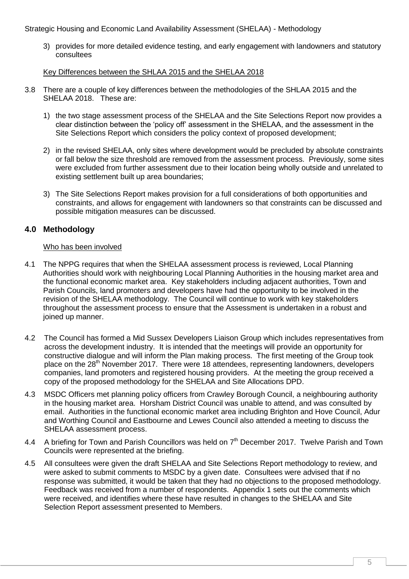3) provides for more detailed evidence testing, and early engagement with landowners and statutory consultees

#### Key Differences between the SHLAA 2015 and the SHELAA 2018

- 3.8 There are a couple of key differences between the methodologies of the SHLAA 2015 and the SHELAA 2018. These are:
	- 1) the two stage assessment process of the SHELAA and the Site Selections Report now provides a clear distinction between the 'policy off' assessment in the SHELAA, and the assessment in the Site Selections Report which considers the policy context of proposed development;
	- 2) in the revised SHELAA, only sites where development would be precluded by absolute constraints or fall below the size threshold are removed from the assessment process. Previously, some sites were excluded from further assessment due to their location being wholly outside and unrelated to existing settlement built up area boundaries;
	- 3) The Site Selections Report makes provision for a full considerations of both opportunities and constraints, and allows for engagement with landowners so that constraints can be discussed and possible mitigation measures can be discussed.

# **4.0 Methodology**

#### Who has been involved

- 4.1 The NPPG requires that when the SHELAA assessment process is reviewed, Local Planning Authorities should work with neighbouring Local Planning Authorities in the housing market area and the functional economic market area. Key stakeholders including adjacent authorities, Town and Parish Councils, land promoters and developers have had the opportunity to be involved in the revision of the SHELAA methodology. The Council will continue to work with key stakeholders throughout the assessment process to ensure that the Assessment is undertaken in a robust and joined up manner.
- 4.2 The Council has formed a Mid Sussex Developers Liaison Group which includes representatives from across the development industry. It is intended that the meetings will provide an opportunity for constructive dialogue and will inform the Plan making process. The first meeting of the Group took place on the 28<sup>th</sup> November 2017. There were 18 attendees, representing landowners, developers companies, land promoters and registered housing providers. At the meeting the group received a copy of the proposed methodology for the SHELAA and Site Allocations DPD.
- 4.3 MSDC Officers met planning policy officers from Crawley Borough Council, a neighbouring authority in the housing market area. Horsham District Council was unable to attend, and was consulted by email. Authorities in the functional economic market area including Brighton and Hove Council, Adur and Worthing Council and Eastbourne and Lewes Council also attended a meeting to discuss the SHELAA assessment process.
- 4.4 A briefing for Town and Parish Councillors was held on 7<sup>th</sup> December 2017. Twelve Parish and Town Councils were represented at the briefing.
- 4.5 All consultees were given the draft SHELAA and Site Selections Report methodology to review, and were asked to submit comments to MSDC by a given date. Consultees were advised that if no response was submitted, it would be taken that they had no objections to the proposed methodology. Feedback was received from a number of respondents. Appendix 1 sets out the comments which were received, and identifies where these have resulted in changes to the SHELAA and Site Selection Report assessment presented to Members.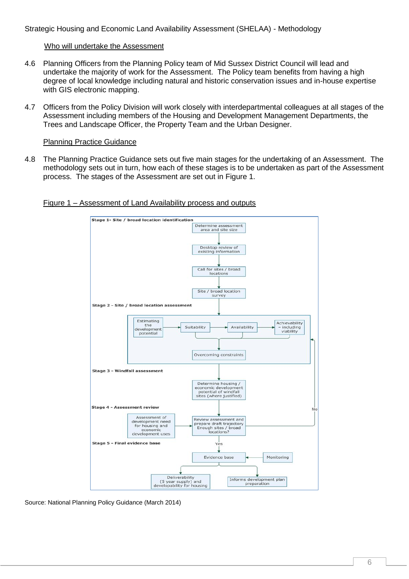#### Who will undertake the Assessment

- 4.6 Planning Officers from the Planning Policy team of Mid Sussex District Council will lead and undertake the majority of work for the Assessment. The Policy team benefits from having a high degree of local knowledge including natural and historic conservation issues and in-house expertise with GIS electronic mapping.
- 4.7 Officers from the Policy Division will work closely with interdepartmental colleagues at all stages of the Assessment including members of the Housing and Development Management Departments, the Trees and Landscape Officer, the Property Team and the Urban Designer.

#### Planning Practice Guidance

4.8 The Planning Practice Guidance sets out five main stages for the undertaking of an Assessment. The methodology sets out in turn, how each of these stages is to be undertaken as part of the Assessment process. The stages of the Assessment are set out in Figure 1.





Source: National Planning Policy Guidance (March 2014)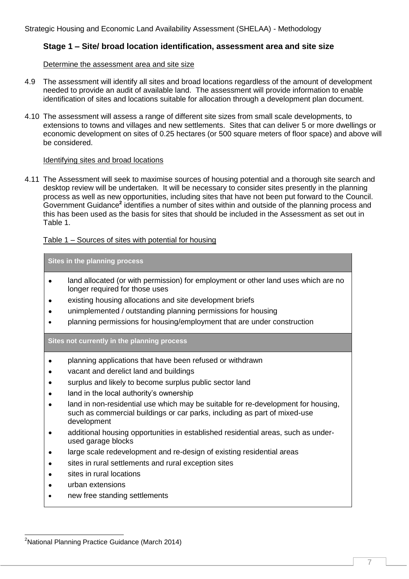# **Stage 1 – Site/ broad location identification, assessment area and site size**

#### Determine the assessment area and site size

- 4.9 The assessment will identify all sites and broad locations regardless of the amount of development needed to provide an audit of available land. The assessment will provide information to enable identification of sites and locations suitable for allocation through a development plan document.
- 4.10 The assessment will assess a range of different site sizes from small scale developments, to extensions to towns and villages and new settlements. Sites that can deliver 5 or more dwellings or economic development on sites of 0.25 hectares (or 500 square meters of floor space) and above will be considered.

#### Identifying sites and broad locations

4.11 The Assessment will seek to maximise sources of housing potential and a thorough site search and desktop review will be undertaken. It will be necessary to consider sites presently in the planning process as well as new opportunities, including sites that have not been put forward to the Council. Government Guidance<sup>2</sup> identifies a number of sites within and outside of the planning process and this has been used as the basis for sites that should be included in the Assessment as set out in Table 1.

## Table 1 – Sources of sites with potential for housing

**Sites in the planning process**

- land allocated (or with permission) for employment or other land uses which are no longer required for those uses
- existing housing allocations and site development briefs
- unimplemented / outstanding planning permissions for housing
- planning permissions for housing/employment that are under construction

#### **Sites not currently in the planning process**

- planning applications that have been refused or withdrawn
- vacant and derelict land and buildings
- surplus and likely to become surplus public sector land
- land in the local authority's ownership
- land in non-residential use which may be suitable for re-development for housing, such as commercial buildings or car parks, including as part of mixed-use development
- additional housing opportunities in established residential areas, such as underused garage blocks
- large scale redevelopment and re-design of existing residential areas
- sites in rural settlements and rural exception sites
- sites in rural locations
- urban extensions

-

new free standing settlements

<sup>&</sup>lt;sup>2</sup>National Planning Practice Guidance (March 2014)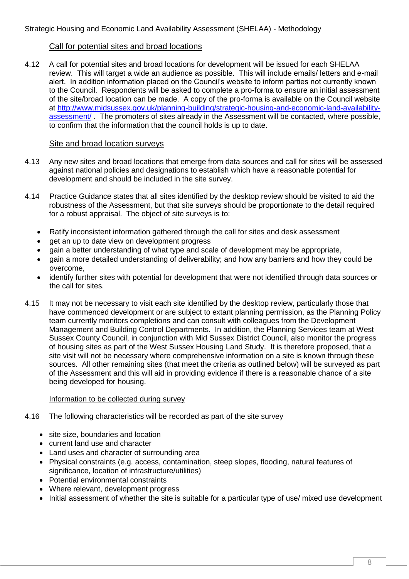## Call for potential sites and broad locations

4.12 A call for potential sites and broad locations for development will be issued for each SHELAA review. This will target a wide an audience as possible. This will include emails/ letters and e-mail alert. In addition information placed on the Council's website to inform parties not currently known to the Council. Respondents will be asked to complete a pro-forma to ensure an initial assessment of the site/broad location can be made. A copy of the pro-forma is available on the Council website at [http://www.midsussex.gov.uk/planning-building/strategic-housing-and-economic-land-availability](http://www.midsussex.gov.uk/planning-building/strategic-housing-and-economic-land-availability-assessment/)[assessment/](http://www.midsussex.gov.uk/planning-building/strategic-housing-and-economic-land-availability-assessment/) . The promoters of sites already in the Assessment will be contacted, where possible, to confirm that the information that the council holds is up to date.

#### Site and broad location surveys

- 4.13 Any new sites and broad locations that emerge from data sources and call for sites will be assessed against national policies and designations to establish which have a reasonable potential for development and should be included in the site survey.
- 4.14 Practice Guidance states that all sites identified by the desktop review should be visited to aid the robustness of the Assessment, but that site surveys should be proportionate to the detail required for a robust appraisal. The object of site surveys is to:
	- Ratify inconsistent information gathered through the call for sites and desk assessment
	- get an up to date view on development progress
	- gain a better understanding of what type and scale of development may be appropriate,
	- gain a more detailed understanding of deliverability; and how any barriers and how they could be overcome,
	- identify further sites with potential for development that were not identified through data sources or the call for sites.
- 4.15 It may not be necessary to visit each site identified by the desktop review, particularly those that have commenced development or are subject to extant planning permission, as the Planning Policy team currently monitors completions and can consult with colleagues from the Development Management and Building Control Departments. In addition, the Planning Services team at West Sussex County Council, in conjunction with Mid Sussex District Council, also monitor the progress of housing sites as part of the West Sussex Housing Land Study. It is therefore proposed, that a site visit will not be necessary where comprehensive information on a site is known through these sources. All other remaining sites (that meet the criteria as outlined below) will be surveyed as part of the Assessment and this will aid in providing evidence if there is a reasonable chance of a site being developed for housing.

#### Information to be collected during survey

- 4.16 The following characteristics will be recorded as part of the site survey
	- site size, boundaries and location
	- current land use and character
	- Land uses and character of surrounding area
	- Physical constraints (e.g. access, contamination, steep slopes, flooding, natural features of significance, location of infrastructure/utilities)
	- Potential environmental constraints
	- Where relevant, development progress
	- Initial assessment of whether the site is suitable for a particular type of use/ mixed use development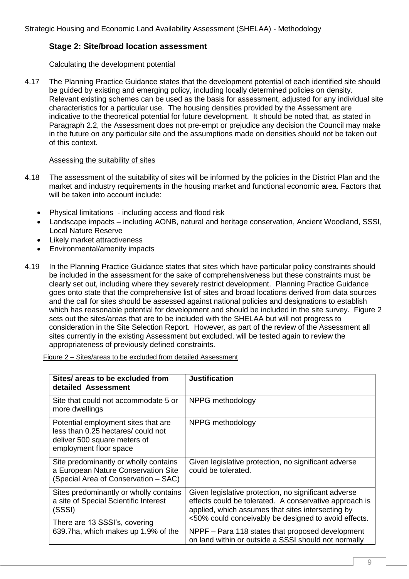# **Stage 2: Site/broad location assessment**

## Calculating the development potential

4.17 The Planning Practice Guidance states that the development potential of each identified site should be guided by existing and emerging policy, including locally determined policies on density. Relevant existing schemes can be used as the basis for assessment, adjusted for any individual site characteristics for a particular use. The housing densities provided by the Assessment are indicative to the theoretical potential for future development. It should be noted that, as stated in Paragraph 2.2, the Assessment does not pre-empt or prejudice any decision the Council may make in the future on any particular site and the assumptions made on densities should not be taken out of this context.

#### Assessing the suitability of sites

- 4.18 The assessment of the suitability of sites will be informed by the policies in the District Plan and the market and industry requirements in the housing market and functional economic area. Factors that will be taken into account include:
	- Physical limitations including access and flood risk
	- Landscape impacts including AONB, natural and heritage conservation, Ancient Woodland, SSSI, Local Nature Reserve
	- Likely market attractiveness
	- Environmental/amenity impacts
- 4.19 In the Planning Practice Guidance states that sites which have particular policy constraints should be included in the assessment for the sake of comprehensiveness but these constraints must be clearly set out, including where they severely restrict development. Planning Practice Guidance goes onto state that the comprehensive list of sites and broad locations derived from data sources and the call for sites should be assessed against national policies and designations to establish which has reasonable potential for development and should be included in the site survey. Figure 2 sets out the sites/areas that are to be included with the SHELAA but will not progress to consideration in the Site Selection Report. However, as part of the review of the Assessment all sites currently in the existing Assessment but excluded, will be tested again to review the appropriateness of previously defined constraints.

Figure 2 – Sites/areas to be excluded from detailed Assessment

| Sites/ areas to be excluded from<br>detailed Assessment                                                                             | <b>Justification</b>                                                                                                                                                                                                        |
|-------------------------------------------------------------------------------------------------------------------------------------|-----------------------------------------------------------------------------------------------------------------------------------------------------------------------------------------------------------------------------|
| Site that could not accommodate 5 or<br>more dwellings                                                                              | NPPG methodology                                                                                                                                                                                                            |
| Potential employment sites that are<br>less than 0.25 hectares/ could not<br>deliver 500 square meters of<br>employment floor space | NPPG methodology                                                                                                                                                                                                            |
| Site predominantly or wholly contains<br>a European Nature Conservation Site<br>(Special Area of Conservation - SAC)                | Given legislative protection, no significant adverse<br>could be tolerated.                                                                                                                                                 |
| Sites predominantly or wholly contains<br>a site of Special Scientific Interest<br>(SSSI)<br>There are 13 SSSI's, covering          | Given legislative protection, no significant adverse<br>effects could be tolerated. A conservative approach is<br>applied, which assumes that sites intersecting by<br><50% could conceivably be designed to avoid effects. |
| 639.7ha, which makes up 1.9% of the                                                                                                 | NPPF – Para 118 states that proposed development<br>on land within or outside a SSSI should not normally                                                                                                                    |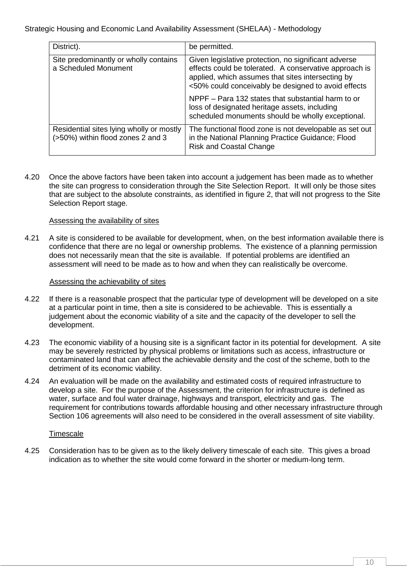| District).                                                                    | be permitted.                                                                                                                                                                                                              |
|-------------------------------------------------------------------------------|----------------------------------------------------------------------------------------------------------------------------------------------------------------------------------------------------------------------------|
| Site predominantly or wholly contains<br>a Scheduled Monument                 | Given legislative protection, no significant adverse<br>effects could be tolerated. A conservative approach is<br>applied, which assumes that sites intersecting by<br><50% could conceivably be designed to avoid effects |
|                                                                               | NPPF – Para 132 states that substantial harm to or<br>loss of designated heritage assets, including<br>scheduled monuments should be wholly exceptional.                                                                   |
| Residential sites lying wholly or mostly<br>(>50%) within flood zones 2 and 3 | The functional flood zone is not developable as set out<br>in the National Planning Practice Guidance; Flood<br><b>Risk and Coastal Change</b>                                                                             |

4.20 Once the above factors have been taken into account a judgement has been made as to whether the site can progress to consideration through the Site Selection Report. It will only be those sites that are subject to the absolute constraints, as identified in figure 2, that will not progress to the Site Selection Report stage.

#### Assessing the availability of sites

4.21 A site is considered to be available for development, when, on the best information available there is confidence that there are no legal or ownership problems. The existence of a planning permission does not necessarily mean that the site is available. If potential problems are identified an assessment will need to be made as to how and when they can realistically be overcome.

#### Assessing the achievability of sites

- 4.22 If there is a reasonable prospect that the particular type of development will be developed on a site at a particular point in time, then a site is considered to be achievable. This is essentially a judgement about the economic viability of a site and the capacity of the developer to sell the development.
- 4.23 The economic viability of a housing site is a significant factor in its potential for development. A site may be severely restricted by physical problems or limitations such as access, infrastructure or contaminated land that can affect the achievable density and the cost of the scheme, both to the detriment of its economic viability.
- 4.24 An evaluation will be made on the availability and estimated costs of required infrastructure to develop a site. For the purpose of the Assessment, the criterion for infrastructure is defined as water, surface and foul water drainage, highways and transport, electricity and gas. The requirement for contributions towards affordable housing and other necessary infrastructure through Section 106 agreements will also need to be considered in the overall assessment of site viability.

#### **Timescale**

4.25 Consideration has to be given as to the likely delivery timescale of each site. This gives a broad indication as to whether the site would come forward in the shorter or medium-long term.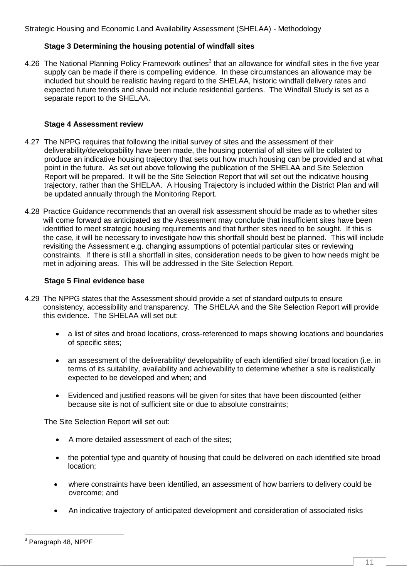## **Stage 3 Determining the housing potential of windfall sites**

4.26 The National Planning Policy Framework outlines<sup>3</sup> that an allowance for windfall sites in the five year supply can be made if there is compelling evidence. In these circumstances an allowance may be included but should be realistic having regard to the SHELAA, historic windfall delivery rates and expected future trends and should not include residential gardens. The Windfall Study is set as a separate report to the SHELAA.

#### **Stage 4 Assessment review**

- 4.27 The NPPG requires that following the initial survey of sites and the assessment of their deliverability/developability have been made, the housing potential of all sites will be collated to produce an indicative housing trajectory that sets out how much housing can be provided and at what point in the future. As set out above following the publication of the SHELAA and Site Selection Report will be prepared. It will be the Site Selection Report that will set out the indicative housing trajectory, rather than the SHELAA. A Housing Trajectory is included within the District Plan and will be updated annually through the Monitoring Report.
- 4.28 Practice Guidance recommends that an overall risk assessment should be made as to whether sites will come forward as anticipated as the Assessment may conclude that insufficient sites have been identified to meet strategic housing requirements and that further sites need to be sought. If this is the case, it will be necessary to investigate how this shortfall should best be planned. This will include revisiting the Assessment e.g. changing assumptions of potential particular sites or reviewing constraints. If there is still a shortfall in sites, consideration needs to be given to how needs might be met in adjoining areas. This will be addressed in the Site Selection Report.

#### **Stage 5 Final evidence base**

- 4.29 The NPPG states that the Assessment should provide a set of standard outputs to ensure consistency, accessibility and transparency. The SHELAA and the Site Selection Report will provide this evidence. The SHELAA will set out:
	- a list of sites and broad locations, cross-referenced to maps showing locations and boundaries of specific sites;
	- an assessment of the deliverability/ developability of each identified site/ broad location (i.e. in terms of its suitability, availability and achievability to determine whether a site is realistically expected to be developed and when; and
	- Evidenced and justified reasons will be given for sites that have been discounted (either because site is not of sufficient site or due to absolute constraints;

The Site Selection Report will set out:

- A more detailed assessment of each of the sites;
- the potential type and quantity of housing that could be delivered on each identified site broad location;
- where constraints have been identified, an assessment of how barriers to delivery could be overcome; and
- An indicative trajectory of anticipated development and consideration of associated risks

 3 Paragraph 48, NPPF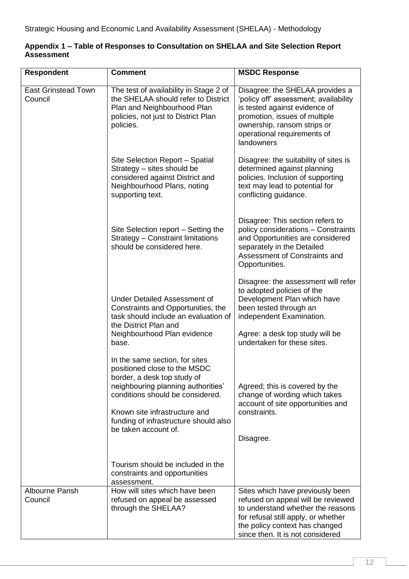| <b>Respondent</b>                     | <b>Comment</b>                                                                                                                                                                                                                                                            | <b>MSDC Response</b>                                                                                                                                                                                                     |
|---------------------------------------|---------------------------------------------------------------------------------------------------------------------------------------------------------------------------------------------------------------------------------------------------------------------------|--------------------------------------------------------------------------------------------------------------------------------------------------------------------------------------------------------------------------|
| <b>East Grinstead Town</b><br>Council | The test of availability in Stage 2 of<br>the SHELAA should refer to District<br>Plan and Neighbourhood Plan<br>policies, not just to District Plan<br>policies.                                                                                                          | Disagree: the SHELAA provides a<br>'policy off' assessment; availability<br>is tested against evidence of<br>promotion, issues of multiple<br>ownership, ransom strips or<br>operational requirements of<br>landowners   |
|                                       | Site Selection Report - Spatial<br>Strategy - sites should be<br>considered against District and<br>Neighbourhood Plans, noting<br>supporting text.                                                                                                                       | Disagree: the suitability of sites is<br>determined against planning<br>policies. Inclusion of supporting<br>text may lead to potential for<br>conflicting guidance.                                                     |
|                                       | Site Selection report – Setting the<br>Strategy - Constraint limitations<br>should be considered here.                                                                                                                                                                    | Disagree: This section refers to<br>policy considerations - Constraints<br>and Opportunities are considered<br>separately in the Detailed<br>Assessment of Constraints and<br>Opportunities.                             |
|                                       | <b>Under Detailed Assessment of</b><br>Constraints and Opportunities, the<br>task should include an evaluation of<br>the District Plan and<br>Neighbourhood Plan evidence<br>base.                                                                                        | Disagree: the assessment will refer<br>to adopted policies of the<br>Development Plan which have<br>been tested through an<br>independent Examination.<br>Agree: a desk top study will be<br>undertaken for these sites. |
|                                       | In the same section, for sites<br>positioned close to the MSDC<br>border, a desk top study of<br>neighbouring planning authorities'<br>conditions should be considered.<br>Known site infrastructure and<br>funding of infrastructure should also<br>be taken account of. | Agreed; this is covered by the<br>change of wording which takes<br>account of site opportunities and<br>constraints.<br>Disagree.                                                                                        |
|                                       | Tourism should be included in the<br>constraints and opportunities<br>assessment.                                                                                                                                                                                         |                                                                                                                                                                                                                          |
| <b>Albourne Parish</b><br>Council     | How will sites which have been<br>refused on appeal be assessed<br>through the SHELAA?                                                                                                                                                                                    | Sites which have previously been<br>refused on appeal will be reviewed<br>to understand whether the reasons<br>for refusal still apply, or whether<br>the policy context has changed<br>since then. It is not considered |

# **Appendix 1 – Table of Responses to Consultation on SHELAA and Site Selection Report Assessment**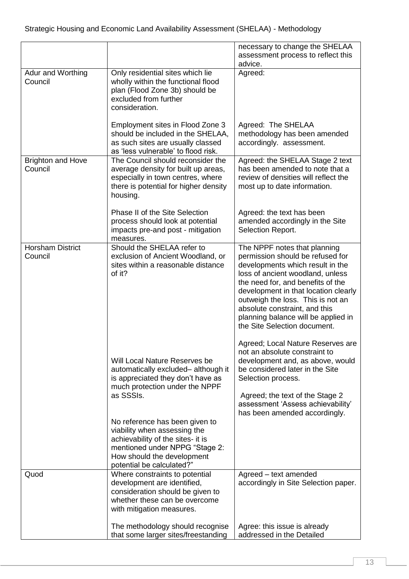|                                     |                                                                                                                                                                                                  | necessary to change the SHELAA<br>assessment process to reflect this<br>advice.                                                                                                                                                                                                                                                                                    |
|-------------------------------------|--------------------------------------------------------------------------------------------------------------------------------------------------------------------------------------------------|--------------------------------------------------------------------------------------------------------------------------------------------------------------------------------------------------------------------------------------------------------------------------------------------------------------------------------------------------------------------|
| Adur and Worthing<br>Council        | Only residential sites which lie<br>wholly within the functional flood<br>plan (Flood Zone 3b) should be<br>excluded from further<br>consideration.                                              | Agreed:                                                                                                                                                                                                                                                                                                                                                            |
|                                     | Employment sites in Flood Zone 3<br>should be included in the SHELAA,<br>as such sites are usually classed<br>as 'less vulnerable' to flood risk.                                                | Agreed: The SHELAA<br>methodology has been amended<br>accordingly. assessment.                                                                                                                                                                                                                                                                                     |
| <b>Brighton and Hove</b><br>Council | The Council should reconsider the<br>average density for built up areas,<br>especially in town centres, where<br>there is potential for higher density<br>housing.                               | Agreed: the SHELAA Stage 2 text<br>has been amended to note that a<br>review of densities will reflect the<br>most up to date information.                                                                                                                                                                                                                         |
|                                     | Phase II of the Site Selection<br>process should look at potential<br>impacts pre-and post - mitigation<br>measures.                                                                             | Agreed: the text has been<br>amended accordingly in the Site<br>Selection Report.                                                                                                                                                                                                                                                                                  |
| <b>Horsham District</b><br>Council  | Should the SHELAA refer to<br>exclusion of Ancient Woodland, or<br>sites within a reasonable distance<br>of it?                                                                                  | The NPPF notes that planning<br>permission should be refused for<br>developments which result in the<br>loss of ancient woodland, unless<br>the need for, and benefits of the<br>development in that location clearly<br>outweigh the loss. This is not an<br>absolute constraint, and this<br>planning balance will be applied in<br>the Site Selection document. |
|                                     | Will Local Nature Reserves be<br>automatically excluded- although it<br>is appreciated they don't have as<br>much protection under the NPPF<br>as SSSIs.                                         | Agreed; Local Nature Reserves are<br>not an absolute constraint to<br>development and, as above, would<br>be considered later in the Site<br>Selection process.<br>Agreed; the text of the Stage 2<br>assessment 'Assess achievability'<br>has been amended accordingly.                                                                                           |
|                                     | No reference has been given to<br>viability when assessing the<br>achievability of the sites- it is<br>mentioned under NPPG "Stage 2:<br>How should the development<br>potential be calculated?" |                                                                                                                                                                                                                                                                                                                                                                    |
| Quod                                | Where constraints to potential<br>development are identified,<br>consideration should be given to<br>whether these can be overcome<br>with mitigation measures.                                  | Agreed - text amended<br>accordingly in Site Selection paper.                                                                                                                                                                                                                                                                                                      |
|                                     | The methodology should recognise<br>that some larger sites/freestanding                                                                                                                          | Agree: this issue is already<br>addressed in the Detailed                                                                                                                                                                                                                                                                                                          |